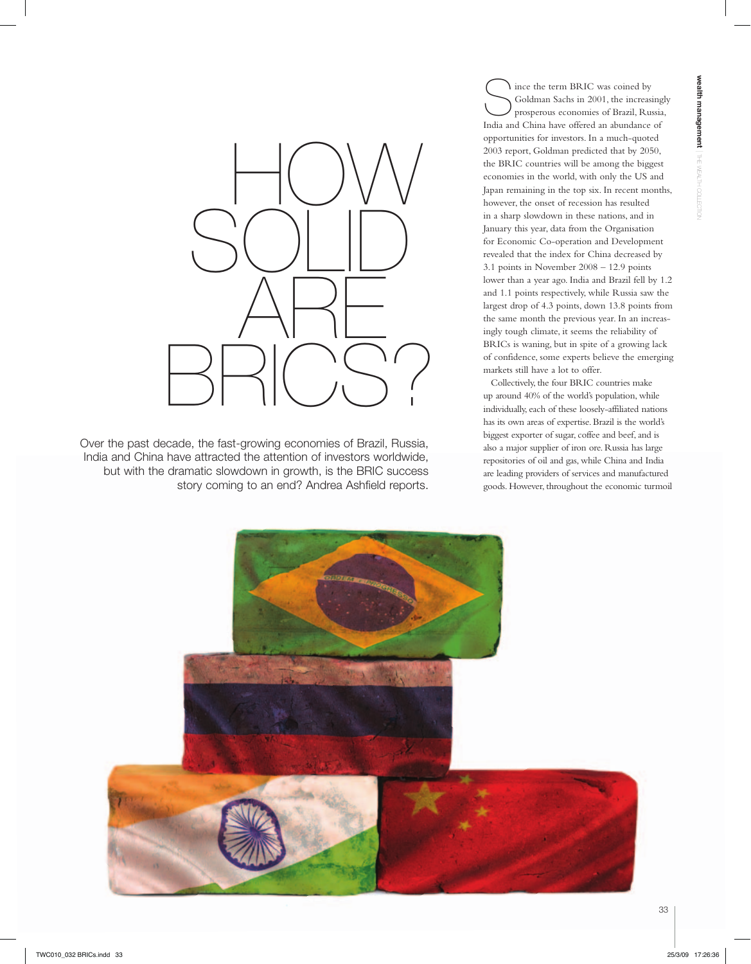

Over the past decade, the fast-growing economies of Brazil, Russia, India and China have attracted the attention of investors worldwide, but with the dramatic slowdown in growth, is the BRIC success story coming to an end? Andrea Ashfield reports.

Since the term BRIC was coined by<br>Soldman Sachs in 2001, the increasing prosperous economies of Brazil, Rus Goldman Sachs in 2001, the increasingly prosperous economies of Brazil, Russia, India and China have offered an abundance of opportunities for investors. In a much-quoted 2003 report, Goldman predicted that by 2050, the BRIC countries will be among the biggest economies in the world, with only the US and Japan remaining in the top six. In recent months, however, the onset of recession has resulted in a sharp slowdown in these nations, and in January this year, data from the Organisation for Economic Co-operation and Development revealed that the index for China decreased by 3.1 points in November 2008 – 12.9 points lower than a year ago. India and Brazil fell by 1.2 and 1.1 points respectively, while Russia saw the largest drop of 4.3 points, down 13.8 points from the same month the previous year. In an increasingly tough climate, it seems the reliability of BRICs is waning, but in spite of a growing lack of confidence, some experts believe the emerging markets still have a lot to offer.

Collectively, the four BRIC countries make up around 40% of the world's population, while individually, each of these loosely-affiliated nations has its own areas of expertise. Brazil is the world's biggest exporter of sugar, coffee and beef, and is also a major supplier of iron ore. Russia has large repositories of oil and gas, while China and India are leading providers of services and manufactured goods. However, throughout the economic turmoil